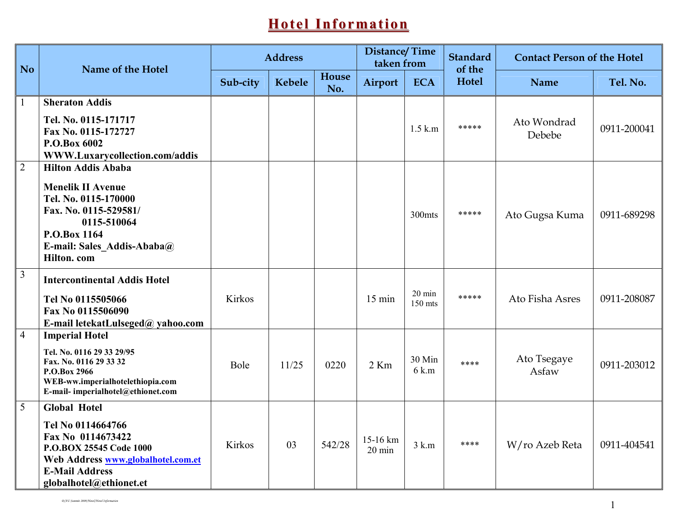## <u>Hotel Information</u>

| <b>No</b>      | Name of the Hotel                                                                                                                                                                  | <b>Address</b> |               |              | <b>Distance/Time</b><br>taken from |                             | <b>Standard</b><br>of the | <b>Contact Person of the Hotel</b> |             |
|----------------|------------------------------------------------------------------------------------------------------------------------------------------------------------------------------------|----------------|---------------|--------------|------------------------------------|-----------------------------|---------------------------|------------------------------------|-------------|
|                |                                                                                                                                                                                    | Sub-city       | <b>Kebele</b> | House<br>No. | Airport                            | <b>ECA</b>                  | Hotel                     | <b>Name</b>                        | Tel. No.    |
| $\mathbf{1}$   | <b>Sheraton Addis</b>                                                                                                                                                              |                |               |              |                                    |                             |                           |                                    |             |
|                | Tel. No. 0115-171717<br>Fax No. 0115-172727<br>P.O.Box 6002<br>WWW.Luxarycollection.com/addis                                                                                      |                |               |              |                                    | $1.5$ k.m                   | *****                     | Ato Wondrad<br>Debebe              | 0911-200041 |
| $\overline{2}$ | <b>Hilton Addis Ababa</b><br><b>Menelik II Avenue</b><br>Tel. No. 0115-170000<br>Fax. No. 0115-529581/<br>0115-510064<br>P.O.Box 1164<br>E-mail: Sales Addis-Ababa@<br>Hilton. com |                |               |              |                                    | 300 <sub>mts</sub>          | *****                     | Ato Gugsa Kuma                     | 0911-689298 |
| $\overline{3}$ | <b>Intercontinental Addis Hotel</b><br>Tel No 0115505066<br>Fax No 0115506090<br>E-mail letekatLulseged@ yahoo.com                                                                 | Kirkos         |               |              | $15 \text{ min}$                   | $20 \text{ min}$<br>150 mts | *****                     | Ato Fisha Asres                    | 0911-208087 |
| $\overline{4}$ | <b>Imperial Hotel</b><br>Tel. No. 0116 29 33 29/95<br>Fax. No. 0116 29 33 32<br>P.O.Box 2966<br>WEB-ww.imperialhotelethiopia.com<br>E-mail-imperialhotel@ethionet.com              | Bole           | 11/25         | 0220         | $2$ Km                             | 30 Min<br>6 k.m             | ****                      | Ato Tsegaye<br>Asfaw               | 0911-203012 |
| $\overline{5}$ | Global Hotel<br>Tel No 0114664766<br>Fax No 0114673422<br>P.O.BOX 25545 Code 1000<br>Web Address www.globalhotel.com.et<br><b>E-Mail Address</b><br>globalhotel@ethionet.et        | Kirkos         | 03            | 542/28       | 15-16 km<br>$20 \text{ min}$       | $3$ k.m                     | ****                      | W/ro Azeb Reta                     | 0911-404541 |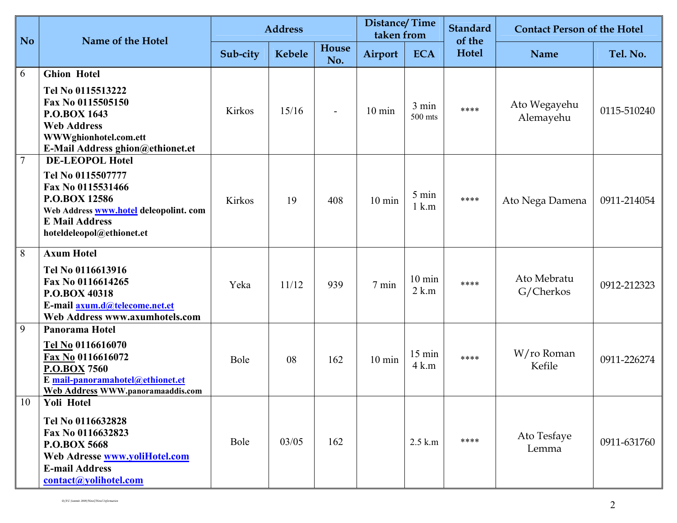| <b>No</b>      | Name of the Hotel                                                                                                                                                                        |          | <b>Address</b> |                | <b>Distance/Time</b><br>taken from |                             | <b>Standard</b><br>of the | <b>Contact Person of the Hotel</b> |             |
|----------------|------------------------------------------------------------------------------------------------------------------------------------------------------------------------------------------|----------|----------------|----------------|------------------------------------|-----------------------------|---------------------------|------------------------------------|-------------|
|                |                                                                                                                                                                                          | Sub-city | Kebele         | House<br>No.   | Airport                            | <b>ECA</b>                  | <b>Hotel</b>              | <b>Name</b>                        | Tel. No.    |
| 6              | <b>Ghion Hotel</b><br>Tel No 0115513222<br>Fax No 0115505150<br>P.O.BOX 1643<br><b>Web Address</b><br>WWWghionhotel.com.ett<br>E-Mail Address ghion@ethionet.et                          | Kirkos   | 15/16          | $\blacksquare$ | $10 \text{ min}$                   | 3 min<br>500 mts            | ****                      | Ato Wegayehu<br>Alemayehu          | 0115-510240 |
| $\overline{7}$ | <b>DE-LEOPOL Hotel</b><br>Tel No 0115507777<br>Fax No 0115531466<br><b>P.O.BOX 12586</b><br>Web Address www.hotel deleopolint. com<br><b>E Mail Address</b><br>hoteldeleopol@ethionet.et | Kirkos   | 19             | 408            | $10 \text{ min}$                   | 5 min<br>$1 \text{ k.m}$    | ****                      | Ato Nega Damena                    | 0911-214054 |
| 8              | <b>Axum Hotel</b><br>Tel No 0116613916<br>Fax No 0116614265<br>P.O.BOX 40318<br>E-mail axum.d@telecome.net.et<br>Web Address www.axumhotels.com                                          | Yeka     | 11/12          | 939            | 7 min                              | $10 \text{ min}$<br>$2$ k.m | ****                      | Ato Mebratu<br>G/Cherkos           | 0912-212323 |
| 9              | Panorama Hotel<br>Tel No 0116616070<br>Fax No 0116616072<br><b>P.O.BOX 7560</b><br>E mail-panoramahotel@ethionet.et<br><b>Web Address WWW.panoramaaddis.com</b>                          | Bole     | 08             | 162            | $10 \text{ min}$                   | 15 min<br>$4 \text{ k.m}$   | ****                      | W/ro Roman<br>Kefile               | 0911-226274 |
| 10             | Yoli Hotel<br>Tel No 0116632828<br>Fax No 0116632823<br><b>P.O.BOX 5668</b><br>Web Adresse www.yoliHotel.com<br><b>E-mail Address</b><br>contact@yolihotel.com                           | Bole     | 03/05          | 162            |                                    | $2.5$ k.m                   | ****                      | Ato Tesfaye<br>Lemma               | 0911-631760 |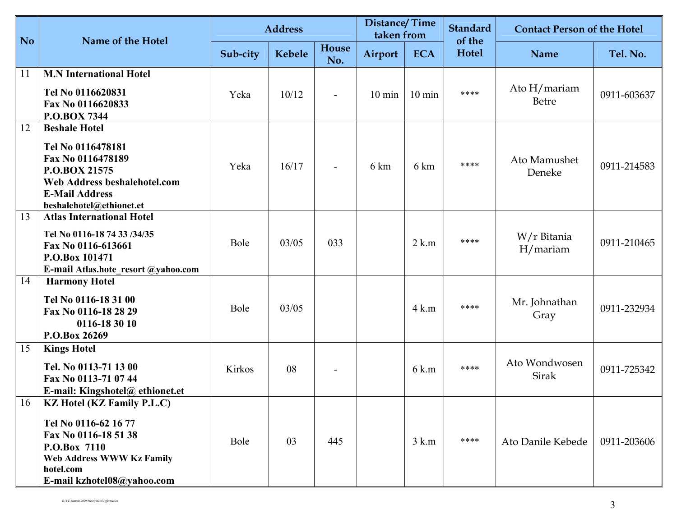| No. | Name of the Hotel                                                                                                                                                                | <b>Address</b> |        |                          | <b>Distance/Time</b><br>taken from |                  | <b>Standard</b><br>of the | <b>Contact Person of the Hotel</b> |             |
|-----|----------------------------------------------------------------------------------------------------------------------------------------------------------------------------------|----------------|--------|--------------------------|------------------------------------|------------------|---------------------------|------------------------------------|-------------|
|     |                                                                                                                                                                                  | Sub-city       | Kebele | House<br>No.             | Airport                            | <b>ECA</b>       | Hotel                     | <b>Name</b>                        | Tel. No.    |
| 11  | <b>M.N</b> International Hotel<br>Tel No 0116620831<br>Fax No 0116620833<br><b>P.O.BOX 7344</b>                                                                                  | Yeka           | 10/12  | $\overline{\phantom{a}}$ | $10 \text{ min}$                   | $10 \text{ min}$ | ****                      | Ato $H/marian$<br>Betre            | 0911-603637 |
| 12  | <b>Beshale Hotel</b><br>Tel No 0116478181<br>Fax No 0116478189<br>P.O.BOX 21575<br>Web Address beshalehotel.com<br><b>E-Mail Address</b><br>beshalehotel@ethionet.et             | Yeka           | 16/17  | $\blacksquare$           | 6 km                               | 6 km             | ****                      | Ato Mamushet<br>Deneke             | 0911-214583 |
| 13  | <b>Atlas International Hotel</b><br>Tel No 0116-18 74 33 /34/35<br>Fax No 0116-613661<br>P.O.Box 101471<br>E-mail Atlas.hote resort @yahoo.com                                   | Bole           | 03/05  | 033                      |                                    | $2$ k.m          | ****                      | W/r Bitania<br>H/marian            | 0911-210465 |
| 14  | <b>Harmony Hotel</b><br>Tel No 0116-18 31 00<br>Fax No 0116-18 28 29<br>0116-18 30 10<br>P.O.Box 26269                                                                           | Bole           | 03/05  |                          |                                    | $4$ k.m          | ****                      | Mr. Johnathan<br>Gray              | 0911-232934 |
| 15  | <b>Kings Hotel</b><br>Tel. No 0113-71 13 00<br>Fax No 0113-71 07 44<br>E-mail: Kingshotel@ ethionet.et                                                                           | Kirkos         | 08     |                          |                                    | 6 k.m            | ****                      | Ato Wondwosen<br>Sirak             | 0911-725342 |
| 16  | <b>KZ Hotel (KZ Family P.L.C)</b><br>Tel No 0116-62 16 77<br>Fax No 0116-18 51 38<br>P.O.Box 7110<br><b>Web Address WWW Kz Family</b><br>hotel.com<br>E-mail kzhotel08@yahoo.com | Bole           | 03     | 445                      |                                    | $3$ k.m          | ****                      | Ato Danile Kebede                  | 0911-203606 |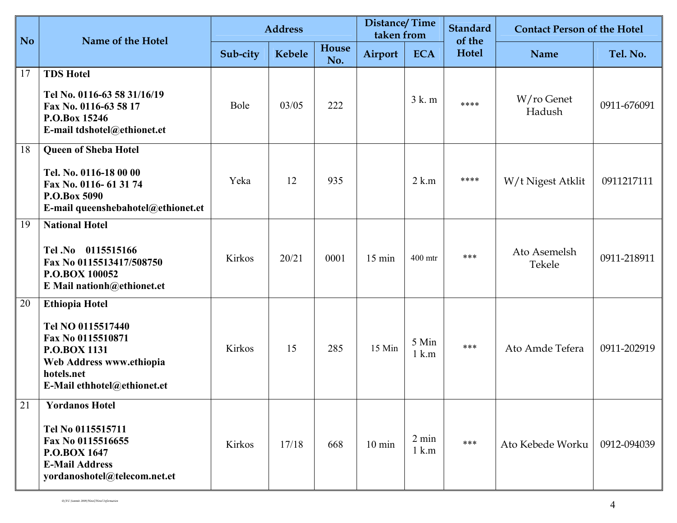| No. | Name of the Hotel                                                                                                                                               |               | <b>Address</b> |              | Distance/Time<br>taken from |                                    | <b>Standard</b><br>of the | <b>Contact Person of the Hotel</b> |             |
|-----|-----------------------------------------------------------------------------------------------------------------------------------------------------------------|---------------|----------------|--------------|-----------------------------|------------------------------------|---------------------------|------------------------------------|-------------|
|     |                                                                                                                                                                 | Sub-city      | <b>Kebele</b>  | House<br>No. | Airport                     | <b>ECA</b>                         | Hotel                     | <b>Name</b>                        | Tel. No.    |
| 17  | <b>TDS Hotel</b><br>Tel No. 0116-63 58 31/16/19<br>Fax No. 0116-63 58 17<br>P.O.Box 15246<br>E-mail tdshotel@ethionet.et                                        | Bole          | 03/05          | 222          |                             | $3k$ . m                           | ****                      | W/ro Genet<br>Hadush               | 0911-676091 |
| 18  | <b>Queen of Sheba Hotel</b><br>Tel. No. 0116-18 00 00<br>Fax No. 0116-61 31 74<br>P.O.Box 5090<br>E-mail queenshebahotel@ethionet.et                            | Yeka          | 12             | 935          |                             | $2$ k.m                            | ****                      | W/t Nigest Atklit                  | 0911217111  |
| 19  | <b>National Hotel</b><br>Tel.No 0115515166<br>Fax No 0115513417/508750<br>P.O.BOX 100052<br>E Mail nationh@ethionet.et                                          | <b>Kirkos</b> | 20/21          | 0001         | 15 min                      | 400 mtr                            | ***                       | Ato Asemelsh<br>Tekele             | 0911-218911 |
| 20  | <b>Ethiopia Hotel</b><br>Tel NO 0115517440<br>Fax No 0115510871<br><b>P.O.BOX 1131</b><br>Web Address www.ethiopia<br>hotels.net<br>E-Mail ethhotel@ethionet.et | Kirkos        | 15             | 285          | 15 Min                      | 5 Min<br>$1$ k.m                   | ***                       | Ato Amde Tefera                    | 0911-202919 |
| 21  | <b>Yordanos Hotel</b><br>Tel No 0115515711<br>Fax No 0115516655<br><b>P.O.BOX 1647</b><br><b>E-Mail Address</b><br>yordanoshotel@telecom.net.et                 | Kirkos        | 17/18          | 668          | $10 \text{ min}$            | $2 \text{ min}$<br>$1 \text{ k.m}$ | ***                       | Ato Kebede Worku                   | 0912-094039 |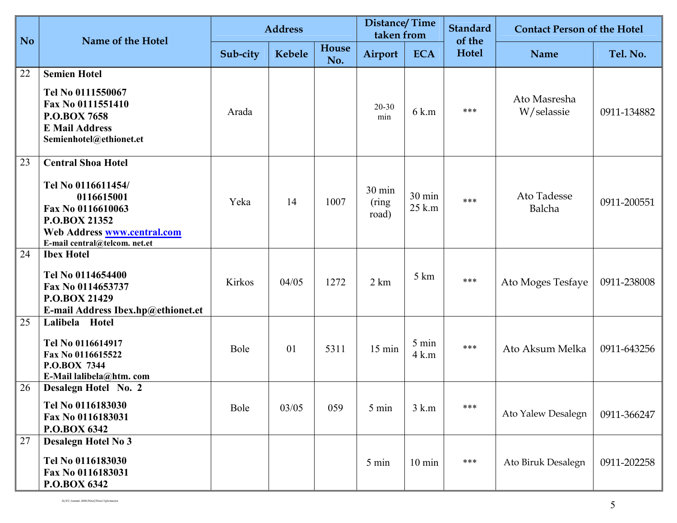| No | Name of the Hotel                                                                                                                                                   |          | <b>Address</b> |              | <b>Distance/Time</b><br>taken from |                  | <b>Standard</b><br>of the | <b>Contact Person of the Hotel</b> |             |
|----|---------------------------------------------------------------------------------------------------------------------------------------------------------------------|----------|----------------|--------------|------------------------------------|------------------|---------------------------|------------------------------------|-------------|
|    |                                                                                                                                                                     | Sub-city | Kebele         | House<br>No. | Airport                            | <b>ECA</b>       | <b>Hotel</b>              | <b>Name</b>                        | Tel. No.    |
| 22 | <b>Semien Hotel</b><br>Tel No 0111550067<br>Fax No 0111551410<br><b>P.O.BOX 7658</b><br><b>E Mail Address</b><br>Semienhotel@ethionet.et                            | Arada    |                |              | $20 - 30$<br>min                   | 6 k.m            | ***                       | Ato Masresha<br>W/selassie         | 0911-134882 |
| 23 | <b>Central Shoa Hotel</b><br>Tel No 0116611454/<br>0116615001<br>Fax No 0116610063<br>P.O.BOX 21352<br>Web Address www.central.com<br>E-mail central@telcom. net.et | Yeka     | 14             | 1007         | 30 min<br>(ring)<br>road)          | 30 min<br>25 k.m | ***                       | Ato Tadesse<br>Balcha              | 0911-200551 |
| 24 | <b>Ibex Hotel</b><br>Tel No 0114654400<br>Fax No 0114653737<br>P.O.BOX 21429<br>E-mail Address Ibex.hp@ethionet.et                                                  | Kirkos   | 04/05          | 1272         | 2 km                               | 5 km             | ***                       | Ato Moges Tesfaye                  | 0911-238008 |
| 25 | Lalibela Hotel<br>Tel No 0116614917<br>Fax No 0116615522<br>P.O.BOX 7344<br>E-Mail lalibela@htm.com                                                                 | Bole     | 01             | 5311         | 15 min                             | 5 min<br>$4$ k.m | ***                       | Ato Aksum Melka                    | 0911-643256 |
| 26 | Desalegn Hotel No. 2<br>Tel No 0116183030<br>Fax No 0116183031<br>P.O.BOX 6342                                                                                      | Bole     | 03/05          | 059          | 5 min                              | $3$ k.m          | ***                       | Ato Yalew Desalegn                 | 0911-366247 |
| 27 | <b>Desalegn Hotel No 3</b><br>Tel No 0116183030<br>Fax No 0116183031<br>P.O.BOX 6342                                                                                |          |                |              | 5 min                              | $10 \text{ min}$ | ***                       | Ato Biruk Desalegn                 | 0911-202258 |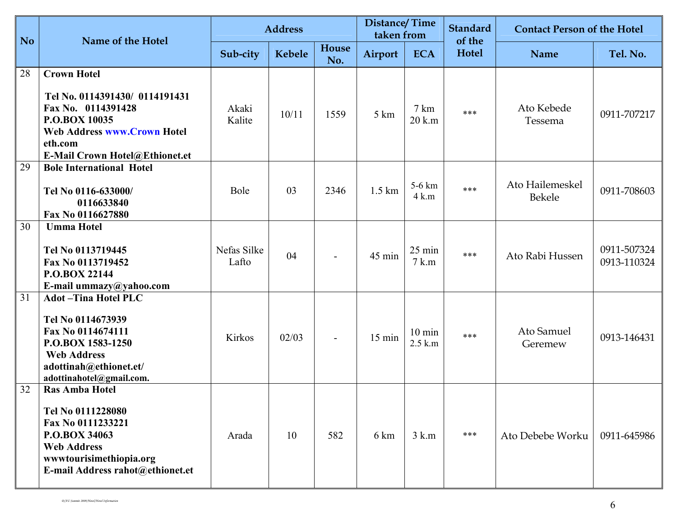| No. | Name of the Hotel                                                                                                                                                              |                      | <b>Address</b> |              | <b>Distance/Time</b><br>taken from |                               | <b>Standard</b><br>of the | <b>Contact Person of the Hotel</b> |                            |
|-----|--------------------------------------------------------------------------------------------------------------------------------------------------------------------------------|----------------------|----------------|--------------|------------------------------------|-------------------------------|---------------------------|------------------------------------|----------------------------|
|     |                                                                                                                                                                                | Sub-city             | Kebele         | House<br>No. | Airport                            | <b>ECA</b>                    | Hotel                     | <b>Name</b>                        | Tel. No.                   |
| 28  | <b>Crown Hotel</b><br>Tel No. 0114391430/ 0114191431<br>Fax No. 0114391428<br>P.O.BOX 10035<br><b>Web Address www.Crown Hotel</b><br>eth.com<br>E-Mail Crown Hotel@Ethionet.et | Akaki<br>Kalite      | 10/11          | 1559         | 5 km                               | $7 \text{ km}$<br>$20$ k.m    | ***                       | Ato Kebede<br>Tessema              | 0911-707217                |
| 29  | <b>Bole International Hotel</b><br>Tel No 0116-633000/<br>0116633840<br>Fax No 0116627880                                                                                      | Bole                 | 03             | 2346         | $1.5 \mathrm{km}$                  | 5-6 km<br>$4$ k.m             | ***                       | Ato Hailemeskel<br>Bekele          | 0911-708603                |
| 30  | <b>Umma Hotel</b><br>Tel No 0113719445<br>Fax No 0113719452<br>P.O.BOX 22144<br>E-mail ummazy@yahoo.com                                                                        | Nefas Silke<br>Lafto | 04             |              | 45 min                             | $25 \text{ min}$<br>$7$ k.m   | ***                       | Ato Rabi Hussen                    | 0911-507324<br>0913-110324 |
| 31  | <b>Adot-Tina Hotel PLC</b><br>Tel No 0114673939<br>Fax No 0114674111<br>P.O.BOX 1583-1250<br><b>Web Address</b><br>adottinah@ethionet.et/<br>adottinahotel@gmail.com.          | Kirkos               | 02/03          |              | $15 \text{ min}$                   | $10 \text{ min}$<br>$2.5$ k.m | ***                       | Ato Samuel<br>Geremew              | 0913-146431                |
| 32  | <b>Ras Amba Hotel</b><br>Tel No 0111228080<br>Fax No 0111233221<br>P.O.BOX 34063<br><b>Web Address</b><br>www.tourisimethiopia.org<br>E-mail Address rahot@ethionet.et         | Arada                | 10             | 582          | 6 km                               | $3$ k.m                       | ***                       | Ato Debebe Worku                   | 0911-645986                |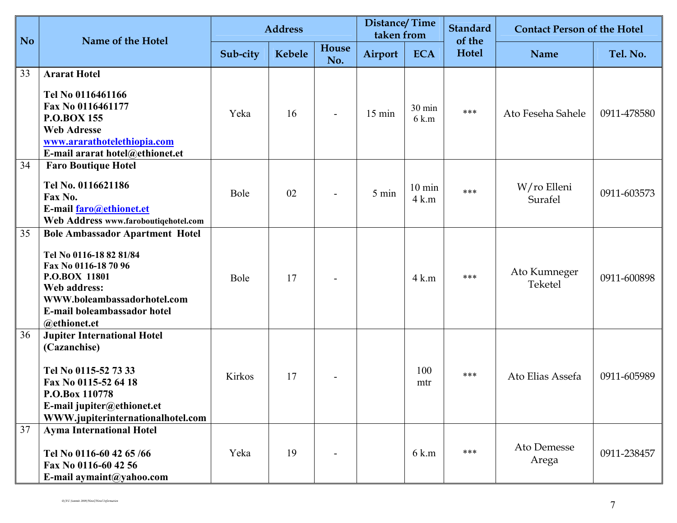| N <sub>o</sub> | Name of the Hotel                                                                                                                                                                                        |          | <b>Address</b> |                          | <b>Distance/Time</b><br>taken from |                             | <b>Standard</b><br>of the | <b>Contact Person of the Hotel</b> |             |
|----------------|----------------------------------------------------------------------------------------------------------------------------------------------------------------------------------------------------------|----------|----------------|--------------------------|------------------------------------|-----------------------------|---------------------------|------------------------------------|-------------|
|                |                                                                                                                                                                                                          | Sub-city | Kebele         | House<br>No.             | Airport                            | <b>ECA</b>                  | Hotel                     | <b>Name</b>                        | Tel. No.    |
| 33             | <b>Ararat Hotel</b><br>Tel No 0116461166<br>Fax No 0116461177<br><b>P.O.BOX 155</b><br><b>Web Adresse</b><br>www.ararathotelethiopia.com<br>E-mail ararat hotel@ethionet.et                              | Yeka     | 16             |                          | 15 min                             | 30 min<br>6 k.m             | ***                       | Ato Feseha Sahele                  | 0911-478580 |
| 34             | <b>Faro Boutique Hotel</b><br>Tel No. 0116621186<br>Fax No.<br>E-mail faro@ethionet.et<br>Web Address www.faroboutiqehotel.com                                                                           | Bole     | 02             | $\overline{\phantom{a}}$ | 5 min                              | $10 \text{ min}$<br>$4$ k.m | ***                       | W/ro Elleni<br>Surafel             | 0911-603573 |
| 35             | <b>Bole Ambassador Apartment Hotel</b><br>Tel No 0116-18 82 81/84<br>Fax No 0116-18 70 96<br>P.O.BOX 11801<br>Web address:<br>WWW.boleambassadorhotel.com<br>E-mail boleambassador hotel<br>@ethionet.et | Bole     | 17             |                          |                                    | $4$ k.m                     | ***                       | Ato Kumneger<br>Teketel            | 0911-600898 |
| 36             | <b>Jupiter International Hotel</b><br>(Cazanchise)<br>Tel No 0115-52 73 33<br>Fax No 0115-52 64 18<br>P.O.Box 110778<br>E-mail jupiter@ethionet.et<br>WWW.jupiterinternationalhotel.com                  | Kirkos   | 17             |                          |                                    | 100<br>mtr                  | ***                       | Ato Elias Assefa                   | 0911-605989 |
| 37             | <b>Ayma International Hotel</b><br>Tel No 0116-60 42 65/66<br>Fax No 0116-60 42 56<br>E-mail aymaint@yahoo.com                                                                                           | Yeka     | 19             |                          |                                    | $6 \text{ k.m}$             | ***                       | Ato Demesse<br>Arega               | 0911-238457 |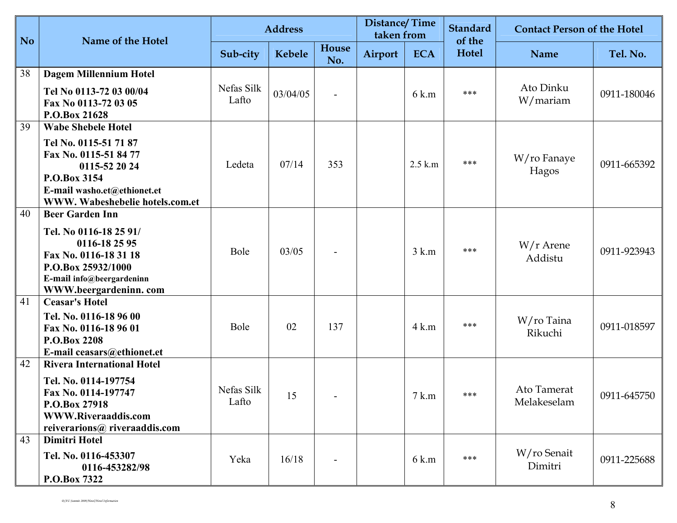| <b>No</b> | Name of the Hotel                                                                                                                                                              |                     | <b>Address</b> |                          | <b>Distance/Time</b><br>taken from |                 | <b>Standard</b><br>of the | <b>Contact Person of the Hotel</b> |             |
|-----------|--------------------------------------------------------------------------------------------------------------------------------------------------------------------------------|---------------------|----------------|--------------------------|------------------------------------|-----------------|---------------------------|------------------------------------|-------------|
|           |                                                                                                                                                                                | Sub-city            | <b>Kebele</b>  | House<br>No.             | Airport                            | <b>ECA</b>      | Hotel                     | <b>Name</b>                        | Tel. No.    |
| 38        | <b>Dagem Millennium Hotel</b><br>Tel No 0113-72 03 00/04<br>Fax No 0113-72 03 05<br>P.O.Box 21628                                                                              | Nefas Silk<br>Lafto | 03/04/05       | $\overline{\phantom{0}}$ |                                    | 6 k.m           | ***                       | Ato Dinku<br>W/mariam              | 0911-180046 |
| 39        | <b>Wabe Shebele Hotel</b><br>Tel No. 0115-51 71 87<br>Fax No. 0115-51 84 77<br>0115-52 20 24<br>P.O.Box 3154<br>E-mail washo.et@ethionet.et<br>WWW. Wabeshebelie hotels.com.et | Ledeta              | 07/14          | 353                      |                                    | $2.5$ k.m       | ***                       | W/ro Fanaye<br>Hagos               | 0911-665392 |
| 40        | <b>Beer Garden Inn</b><br>Tel. No 0116-18 25 91/<br>0116-18 25 95<br>Fax No. 0116-18 31 18<br>P.O.Box 25932/1000<br>E-mail info@beergardeninn<br>WWW.beergardeninn.com         | Bole                | 03/05          |                          |                                    | $3 \text{ k.m}$ | ***                       | $W/r$ Arene<br>Addistu             | 0911-923943 |
| 41        | <b>Ceasar's Hotel</b><br>Tel. No. 0116-18 96 00<br>Fax No. 0116-18 96 01<br>P.O.Box 2208<br>E-mail ceasars@ethionet.et                                                         | Bole                | 02             | 137                      |                                    | $4$ k.m         | ***                       | W/ro Taina<br>Rikuchi              | 0911-018597 |
| 42        | <b>Rivera International Hotel</b><br>Tel. No. 0114-197754<br>Fax No. 0114-197747<br>P.O.Box 27918<br>WWW.Riveraaddis.com<br>reiverarions@ riveraaddis.com                      | Nefas Silk<br>Lafto | 15             |                          |                                    | 7 k.m           | ***                       | Ato Tamerat<br>Melakeselam         | 0911-645750 |
| 43        | <b>Dimitri Hotel</b><br>Tel. No. 0116-453307<br>0116-453282/98<br>P.O.Box 7322                                                                                                 | Yeka                | 16/18          |                          |                                    | 6 k.m           | ***                       | W/ro Senait<br>Dimitri             | 0911-225688 |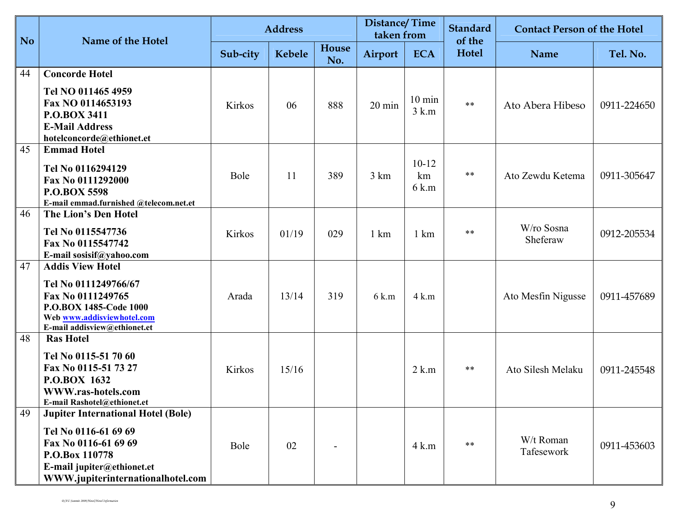| <b>No</b> | Name of the Hotel                                                                                                                                                              | <b>Address</b> |        |              | <b>Distance/Time</b><br>taken from |                             | <b>Standard</b><br>of the | <b>Contact Person of the Hotel</b> |             |
|-----------|--------------------------------------------------------------------------------------------------------------------------------------------------------------------------------|----------------|--------|--------------|------------------------------------|-----------------------------|---------------------------|------------------------------------|-------------|
|           |                                                                                                                                                                                | Sub-city       | Kebele | House<br>No. | Airport                            | <b>ECA</b>                  | Hotel                     | <b>Name</b>                        | Tel. No.    |
| 44        | <b>Concorde Hotel</b><br>Tel NO 011465 4959<br>Fax NO 0114653193<br><b>P.O.BOX 3411</b><br><b>E-Mail Address</b><br>hotelconcorde@ethionet.et                                  | Kirkos         | 06     | 888          | 20 min                             | $10 \text{ min}$<br>$3$ k.m | $***$                     | Ato Abera Hibeso                   | 0911-224650 |
| 45        | <b>Emmad Hotel</b><br>Tel No 0116294129<br>Fax No 0111292000<br><b>P.O.BOX 5598</b><br>E-mail emmad.furnished @telecom.net.et                                                  | Bole           | 11     | 389          | 3 km                               | $10-12$<br>km<br>6 k.m      | $***$                     | Ato Zewdu Ketema                   | 0911-305647 |
| 46        | The Lion's Den Hotel<br>Tel No 0115547736<br>Fax No 0115547742<br>E-mail sosisif@yahoo.com                                                                                     | Kirkos         | 01/19  | 029          | $1 \text{ km}$                     | $1 \text{ km}$              | $***$                     | W/ro Sosna<br>Sheferaw             | 0912-205534 |
| 47        | <b>Addis View Hotel</b><br>Tel No 0111249766/67<br>Fax No 0111249765<br>P.O.BOX 1485-Code 1000<br>Web www.addisviewhotel.com<br>E-mail addisview@ethionet.et                   | Arada          | 13/14  | 319          | 6 k.m                              | $4$ k.m                     |                           | Ato Mesfin Nigusse                 | 0911-457689 |
| 48        | <b>Ras Hotel</b><br>Tel No 0115-51 70 60<br>Fax No 0115-51 73 27<br>P.O.BOX 1632<br>WWW.ras-hotels.com<br>E-mail Rashotel@ethionet.et                                          | Kirkos         | 15/16  |              |                                    | $2$ k.m                     | $***$                     | Ato Silesh Melaku                  | 0911-245548 |
| 49        | <b>Jupiter International Hotel (Bole)</b><br>Tel No 0116-61 69 69<br>Fax No 0116-61 69 69<br>P.O.Box 110778<br>E-mail jupiter@ethionet.et<br>WWW.jupiterinternationalhotel.com | Bole           | 02     |              |                                    | $4 \text{ k.m}$             | $***$                     | W/t Roman<br>Tafesework            | 0911-453603 |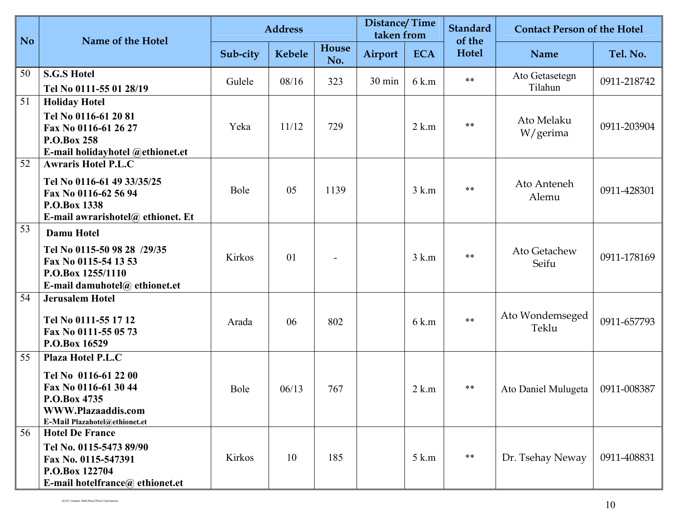| <b>No</b> | Name of the Hotel                                                                                                                               |          | <b>Address</b> |              | <b>Distance/Time</b><br>taken from |            | <b>Standard</b><br>of the | <b>Contact Person of the Hotel</b> |             |
|-----------|-------------------------------------------------------------------------------------------------------------------------------------------------|----------|----------------|--------------|------------------------------------|------------|---------------------------|------------------------------------|-------------|
|           |                                                                                                                                                 | Sub-city | Kebele         | House<br>No. | Airport                            | <b>ECA</b> | <b>Hotel</b>              | Name                               | Tel. No.    |
| 50        | <b>S.G.S Hotel</b><br>Tel No 0111-55 01 28/19                                                                                                   | Gulele   | 08/16          | 323          | 30 min                             | 6 k.m      | $***$                     | Ato Getasetegn<br>Tilahun          | 0911-218742 |
| 51        | <b>Holiday Hotel</b><br>Tel No 0116-61 20 81<br>Fax No 0116-61 26 27<br><b>P.O.Box 258</b><br>E-mail holidayhotel @ethionet.et                  | Yeka     | 11/12          | 729          |                                    | $2$ k.m    | $***$                     | Ato Melaku<br>W/gerima             | 0911-203904 |
| 52        | <b>Awraris Hotel P.L.C</b><br>Tel No 0116-61 49 33/35/25<br>Fax No 0116-62 56 94<br>P.O.Box 1338<br>E-mail awrarishotel@ ethionet. Et           | Bole     | 05             | 1139         |                                    | $3$ k.m    | $***$                     | Ato Anteneh<br>Alemu               | 0911-428301 |
| 53        | <b>Damu Hotel</b><br>Tel No 0115-50 98 28 /29/35<br>Fax No 0115-54 13 53<br>P.O.Box 1255/1110<br>E-mail damuhotel $@$ ethionet.et               | Kirkos   | 01             |              |                                    | $3$ k.m    | $***$                     | Ato Getachew<br>Seifu              | 0911-178169 |
| 54        | <b>Jerusalem Hotel</b><br>Tel No 0111-55 17 12<br>Fax No 0111-55 05 73<br>P.O.Box 16529                                                         | Arada    | 06             | 802          |                                    | 6 k.m      | $***$                     | Ato Wondemseged<br>Teklu           | 0911-657793 |
| 55        | <b>Plaza Hotel P.L.C</b><br>Tel No 0116-61 22 00<br>Fax No 0116-61 30 44<br>P.O.Box 4735<br>WWW.Plazaaddis.com<br>E-Mail Plazahotel@ethionet.et | Bole     | 06/13          | 767          |                                    | $2$ k.m    | **                        | Ato Daniel Mulugeta                | 0911-008387 |
| 56        | <b>Hotel De France</b><br>Tel No. 0115-5473 89/90<br>Fax No. 0115-547391<br>P.O.Box 122704<br>E-mail hotelfrance@ ethionet.et                   | Kirkos   | 10             | 185          |                                    | 5 k.m      | $***$                     | Dr. Tsehay Neway                   | 0911-408831 |